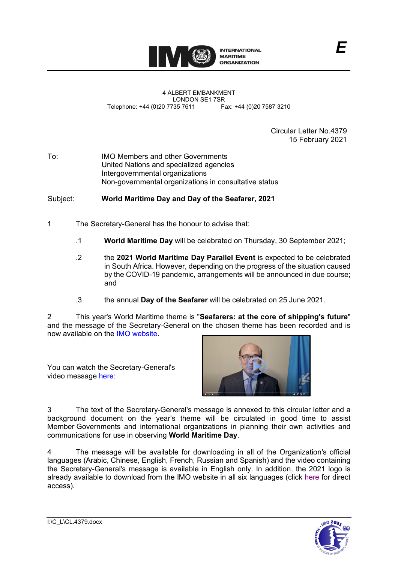

Circular Letter No.4379 15 February 2021

To: IMO Members and other Governments United Nations and specialized agencies Intergovernmental organizations Non-governmental organizations in consultative status

## Subject: **World Maritime Day and Day of the Seafarer, 2021**

- 1 The Secretary-General has the honour to advise that:
	- .1 **World Maritime Day** will be celebrated on Thursday, 30 September 2021;
	- .2 the **2021 World Maritime Day Parallel Event** is expected to be celebrated in South Africa. However, depending on the progress of the situation caused by the COVID-19 pandemic, arrangements will be announced in due course; and
	- .3 the annual **Day of the Seafarer** will be celebrated on 25 June 2021.

2 This year's World Maritime theme is "**Seafarers: at the core of shipping's future**" and the message of the Secretary-General on the chosen theme has been recorded and is now available on the [IMO website.](https://www.imo.org/en/About/Events/Pages/World-Maritime-Theme-2021.aspx)

You can watch the Secretary-General's video message [here:](https://youtu.be/aXPjR8q-aS4)



3 The text of the Secretary-General's message is annexed to this circular letter and a background document on the year's theme will be circulated in good time to assist Member Governments and international organizations in planning their own activities and communications for use in observing **World Maritime Day**.

4 The message will be available for downloading in all of the Organization's official languages (Arabic, Chinese, English, French, Russian and Spanish) and the video containing the Secretary-General's message is available in English only. In addition, the 2021 logo is already available to download from the IMO website in all six languages (click [here](https://www.imo.org/en/OurWork/ERO/Pages/World-Maritime-theme-logo.aspx) for direct access).

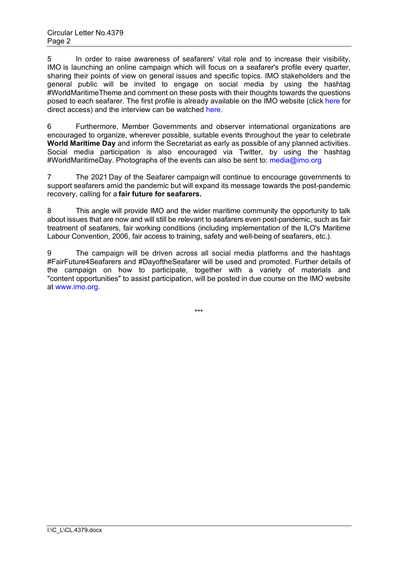5 In order to raise awareness of seafarers' vital role and to increase their visibility, IMO is launching an online campaign which will focus on a seafarer's profile every quarter, sharing their points of view on general issues and specific topics. IMO stakeholders and the general public will be invited to engage on social media by using the hashtag #WorldMaritimeTheme and comment on these posts with their thoughts towards the questions posed to each seafarer. The first profile is already available on the IMO website (click [here](https://wwwcdn.imo.org/localresources/en/MediaCentre/Documents/World%20Maritime%20Profiles%202021_Matt%20Forster_final.pdf) for direct access) and the interview can be watched [here.](https://bit.ly/37ngUlQ)

6 Furthermore, Member Governments and observer international organizations are encouraged to organize, wherever possible, suitable events throughout the year to celebrate **World Maritime Day** and inform the Secretariat as early as possible of any planned activities. Social media participation is also encouraged via Twitter, by using the hashtag #WorldMaritimeDay. Photographs of the events can also be sent to: [media@imo.org](mailto:media@imo.org)

7 The 2021 Day of the Seafarer campaign will continue to encourage governments to support seafarers amid the pandemic but will expand its message towards the post-pandemic recovery, calling for a **fair future for seafarers.**

8 This angle will provide IMO and the wider maritime community the opportunity to talk about issues that are now and will still be relevant to seafarers even post-pandemic, such as fair treatment of seafarers, fair working conditions (including implementation of the ILO's Maritime Labour Convention, 2006, fair access to training, safety and well-being of seafarers, etc.).

9 The campaign will be driven across all social media platforms and the hashtags #FairFuture4Seafarers and #DayoftheSeafarer will be used and promoted. Further details of the campaign on how to participate, together with a variety of materials and "content opportunities" to assist participation, will be posted in due course on the IMO website at [www.imo.org.](http://www.imo.org/)

\*\*\*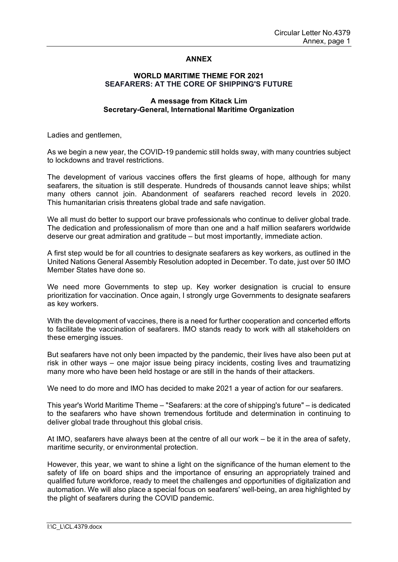## **ANNEX**

## **WORLD MARITIME THEME FOR 2021 SEAFARERS: AT THE CORE OF SHIPPINGʹS FUTURE**

## **A message from Kitack Lim Secretary-General, International Maritime Organization**

Ladies and gentlemen,

As we begin a new year, the COVID-19 pandemic still holds sway, with many countries subject to lockdowns and travel restrictions.

The development of various vaccines offers the first gleams of hope, although for many seafarers, the situation is still desperate. Hundreds of thousands cannot leave ships; whilst many others cannot join. Abandonment of seafarers reached record levels in 2020. This humanitarian crisis threatens global trade and safe navigation.

We all must do better to support our brave professionals who continue to deliver global trade. The dedication and professionalism of more than one and a half million seafarers worldwide deserve our great admiration and gratitude – but most importantly, immediate action.

A first step would be for all countries to designate seafarers as key workers, as outlined in the United Nations General Assembly Resolution adopted in December. To date, just over 50 IMO Member States have done so.

We need more Governments to step up. Key worker designation is crucial to ensure prioritization for vaccination. Once again, I strongly urge Governments to designate seafarers as key workers.

With the development of vaccines, there is a need for further cooperation and concerted efforts to facilitate the vaccination of seafarers. IMO stands ready to work with all stakeholders on these emerging issues.

But seafarers have not only been impacted by the pandemic, their lives have also been put at risk in other ways – one major issue being piracy incidents, costing lives and traumatizing many more who have been held hostage or are still in the hands of their attackers.

We need to do more and IMO has decided to make 2021 a year of action for our seafarers.

This year's World Maritime Theme – "Seafarers: at the core of shipping's future" – is dedicated to the seafarers who have shown tremendous fortitude and determination in continuing to deliver global trade throughout this global crisis.

At IMO, seafarers have always been at the centre of all our work – be it in the area of safety, maritime security, or environmental protection.

However, this year, we want to shine a light on the significance of the human element to the safety of life on board ships and the importance of ensuring an appropriately trained and qualified future workforce, ready to meet the challenges and opportunities of digitalization and automation. We will also place a special focus on seafarersʹ well-being, an area highlighted by the plight of seafarers during the COVID pandemic.